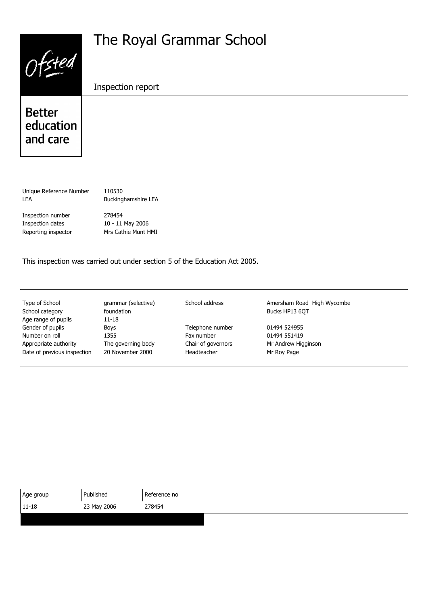| Ofsted                                 | The Royal Grammar School |
|----------------------------------------|--------------------------|
|                                        | Inspection report        |
| <b>Better</b><br>education<br>and care |                          |
|                                        |                          |

Unique Reference Number 110530 LEA Buckinghamshire LEA

Inspection number 278454 Inspection dates 10 - 11 May 2006 Reporting inspector Mrs Cathie Munt HMI

This inspection was carried out under section 5 of the Education Act 2005.

School category foundation foundation Bucks HP13 6QT Age range of pupils 11-18 Gender of pupils **Example 2014** Boys **Telephone number** 01494 524955 Number on roll 1355 Fax number 01494 551419 Appropriate authority The governing body Chair of governors Mr Andrew Higginson<br>Date of previous inspection 20 November 2000 Headteacher Mr Rov Page Date of previous inspection 20 November 2000 Headteacher Mr Roy Page

Type of School **grammar (selective)** School address **Amersham Road High Wycombe** 

| Age group | Published   | l Reference no |
|-----------|-------------|----------------|
| $11-18$   | 23 May 2006 | 278454         |
|           |             |                |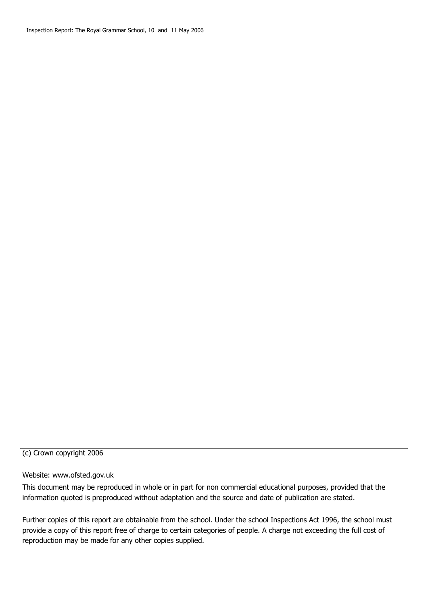#### (c) Crown copyright 2006

#### Website: www.ofsted.gov.uk

This document may be reproduced in whole or in part for non commercial educational purposes, provided that the information quoted is preproduced without adaptation and the source and date of publication are stated.

Further copies of this report are obtainable from the school. Under the school Inspections Act 1996, the school must provide a copy of this report free of charge to certain categories of people. A charge not exceeding the full cost of reproduction may be made for any other copies supplied.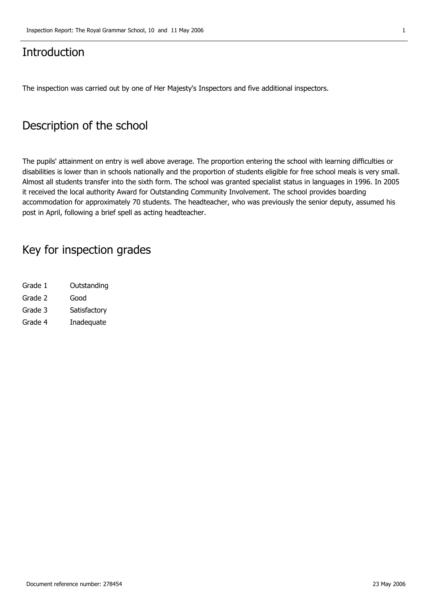#### **Introduction**

The inspection was carried out by one of Her Majesty's Inspectors and five additional inspectors.

#### **Description of the school**

The pupils' attainment on entry is well above average. The proportion entering the school with learning difficulties or disabilities is lower than in schools nationally and the proportion of students eligible for free school meals is very small. Almost all students transfer into the sixth form. The school was granted specialist status in languages in 1996. In 2005 it received the local authority Award for Outstanding Community Involvement. The school provides boarding accommodation for approximately 70 students. The headteacher, who was previously the senior deputy, assumed his post in April, following a brief spell as acting headteacher.

### **Key for inspection grades**

Grade 1 Outstanding Grade 2 Good Grade 3 Satisfactory Grade 4 Inadequate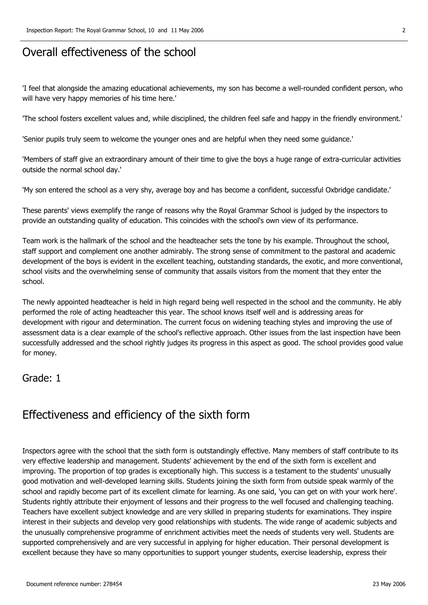#### **Overall effectiveness of the school**

'I feel that alongside the amazing educational achievements, my son has become a well-rounded confident person, who will have very happy memories of his time here.'

'The school fosters excellent values and, while disciplined, the children feel safe and happy in the friendly environment.'

'Senior pupils truly seem to welcome the younger ones and are helpful when they need some guidance.'

'Members of staff give an extraordinary amount of their time to give the boys a huge range of extra-curricular activities outside the normal school day.'

'My son entered the school as a very shy, average boy and has become a confident, successful Oxbridge candidate.'

These parents' views exemplify the range of reasons why the Royal Grammar School is judged by the inspectors to provide an outstanding quality of education. This coincides with the school's own view of its performance.

Team work is the hallmark of the school and the headteacher sets the tone by his example. Throughout the school, staff support and complement one another admirably. The strong sense of commitment to the pastoral and academic development of the boys is evident in the excellent teaching, outstanding standards, the exotic, and more conventional, school visits and the overwhelming sense of community that assails visitors from the moment that they enter the school.

The newly appointed headteacher is held in high regard being well respected in the school and the community. He ably performed the role of acting headteacher this year. The school knows itself well and is addressing areas for development with rigour and determination. The current focus on widening teaching styles and improving the use of assessment data is a clear example of the school's reflective approach. Other issues from the last inspection have been successfully addressed and the school rightly judges its progress in this aspect as good. The school provides good value for money.

#### **Grade: 1**

#### **Effectiveness and efficiency of the sixth form**

Inspectors agree with the school that the sixth form is outstandingly effective. Many members of staff contribute to its very effective leadership and management. Students' achievement by the end of the sixth form is excellent and improving. The proportion of top grades is exceptionally high. This success is a testament to the students' unusually good motivation and well-developed learning skills. Students joining the sixth form from outside speak warmly of the school and rapidly become part of its excellent climate for learning. As one said, 'you can get on with your work here'. Students rightly attribute their enjoyment of lessons and their progress to the well focused and challenging teaching. Teachers have excellent subject knowledge and are very skilled in preparing students for examinations. They inspire interest in their subjects and develop very good relationships with students. The wide range of academic subjects and the unusually comprehensive programme of enrichment activities meet the needs of students very well. Students are supported comprehensively and are very successful in applying for higher education. Their personal development is excellent because they have so many opportunities to support younger students, exercise leadership, express their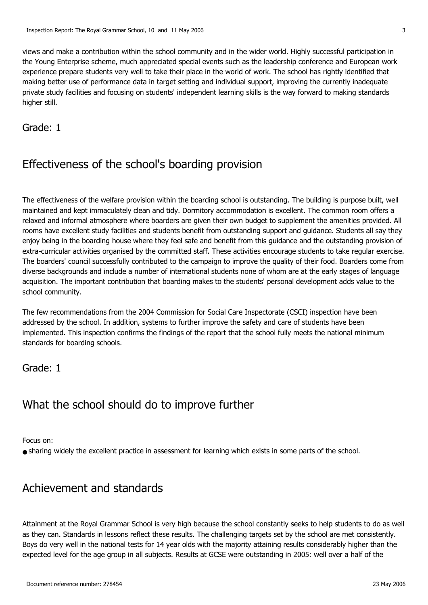views and make a contribution within the school community and in the wider world. Highly successful participation in the Young Enterprise scheme, much appreciated special events such as the leadership conference and European work experience prepare students very well to take their place in the world of work. The school has rightly identified that making better use of performance data in target setting and individual support, improving the currently inadequate private study facilities and focusing on students' independent learning skills is the way forward to making standards higher still.

**Grade: 1**

## **Effectiveness of the school's boarding provision**

The effectiveness of the welfare provision within the boarding school is outstanding. The building is purpose built, well maintained and kept immaculately clean and tidy. Dormitory accommodation is excellent. The common room offers a relaxed and informal atmosphere where boarders are given their own budget to supplement the amenities provided. All rooms have excellent study facilities and students benefit from outstanding support and guidance. Students all say they enjoy being in the boarding house where they feel safe and benefit from this guidance and the outstanding provision of extra-curricular activities organised by the committed staff. These activities encourage students to take regular exercise. The boarders' council successfully contributed to the campaign to improve the quality of their food. Boarders come from diverse backgrounds and include a number of international students none of whom are at the early stages of language acquisition. The important contribution that boarding makes to the students' personal development adds value to the school community.

The few recommendations from the 2004 Commission for Social Care Inspectorate (CSCI) inspection have been addressed by the school. In addition, systems to further improve the safety and care of students have been implemented. This inspection confirms the findings of the report that the school fully meets the national minimum standards for boarding schools.

#### **Grade: 1**

### **What the school should do to improve further**

Focus on:

● sharing widely the excellent practice in assessment for learning which exists in some parts of the school.

### **Achievement and standards**

Attainment at the Royal Grammar School is very high because the school constantly seeks to help students to do as well as they can. Standards in lessons reflect these results. The challenging targets set by the school are met consistently. Boys do very well in the national tests for 14 year olds with the majority attaining results considerably higher than the expected level for the age group in all subjects. Results at GCSE were outstanding in 2005: well over a half of the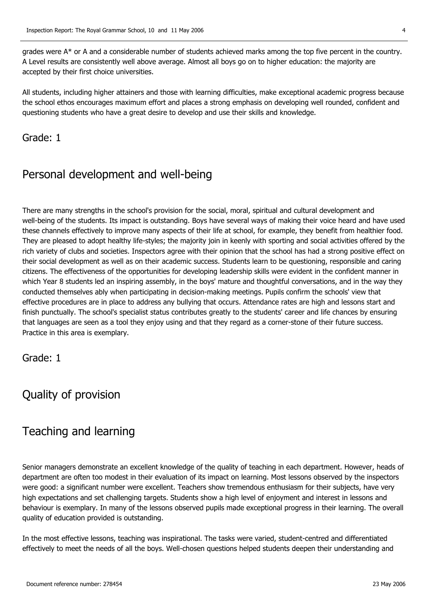grades were  $A^*$  or A and a considerable number of students achieved marks among the top five percent in the country. A Level results are consistently well above average. Almost all boys go on to higher education: the majority are accepted by their first choice universities.

All students, including higher attainers and those with learning difficulties, make exceptional academic progress because the school ethos encourages maximum effort and places a strong emphasis on developing well rounded, confident and questioning students who have a great desire to develop and use their skills and knowledge.

**Grade: 1**

### **Personal development and well-being**

There are many strengths in the school's provision for the social, moral, spiritual and cultural development and well-being of the students. Its impact is outstanding. Boys have several ways of making their voice heard and have used these channels effectively to improve many aspects of their life at school, for example, they benefit from healthier food. They are pleased to adopt healthy life-styles; the majority join in keenly with sporting and social activities offered by the rich variety of clubs and societies. Inspectors agree with their opinion that the school has had a strong positive effect on their social development as well as on their academic success. Students learn to be questioning, responsible and caring citizens. The effectiveness of the opportunities for developing leadership skills were evident in the confident manner in which Year 8 students led an inspiring assembly, in the boys' mature and thoughtful conversations, and in the way they conducted themselves ably when participating in decision-making meetings. Pupils confirm the schools' view that effective procedures are in place to address any bullying that occurs. Attendance rates are high and lessons start and finish punctually. The school's specialist status contributes greatly to the students' career and life chances by ensuring that languages are seen as a tool they enjoy using and that they regard as a corner-stone of their future success. Practice in this area is exemplary.

**Grade: 1**

## **Quality of provision**

### **Teaching and learning**

Senior managers demonstrate an excellent knowledge of the quality of teaching in each department. However, heads of department are often too modest in their evaluation of its impact on learning. Most lessons observed by the inspectors were good: a significant number were excellent. Teachers show tremendous enthusiasm for their subjects, have very high expectations and set challenging targets. Students show a high level of enjoyment and interest in lessons and behaviour is exemplary. In many of the lessons observed pupils made exceptional progress in their learning. The overall quality of education provided is outstanding.

In the most effective lessons, teaching was inspirational. The tasks were varied, student-centred and differentiated effectively to meet the needs of all the boys. Well-chosen questions helped students deepen their understanding and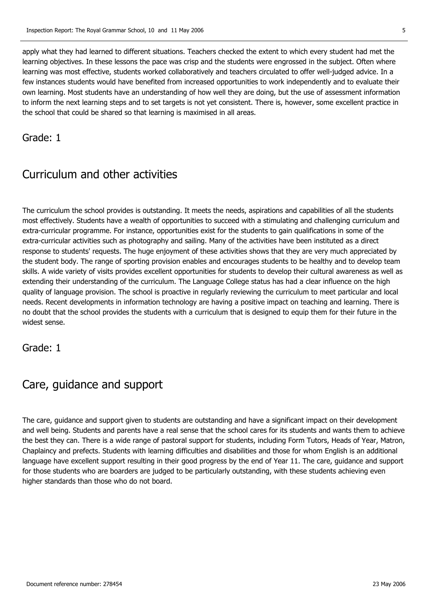apply what they had learned to different situations. Teachers checked the extent to which every student had met the learning objectives. In these lessons the pace was crisp and the students were engrossed in the subject. Often where learning was most effective, students worked collaboratively and teachers circulated to offer well-judged advice. In a few instances students would have benefited from increased opportunities to work independently and to evaluate their own learning. Most students have an understanding of how well they are doing, but the use of assessment information to inform the next learning steps and to set targets is not yet consistent. There is, however, some excellent practice in the school that could be shared so that learning is maximised in all areas.

**Grade: 1**

## **Curriculum and other activities**

The curriculum the school provides is outstanding. It meets the needs, aspirations and capabilities of all the students most effectively. Students have a wealth of opportunities to succeed with a stimulating and challenging curriculum and extra-curricular programme. For instance, opportunities exist for the students to gain qualifications in some of the extra-curricular activities such as photography and sailing. Many of the activities have been instituted as a direct response to students' requests. The huge enjoyment of these activities shows that they are very much appreciated by the student body. The range of sporting provision enables and encourages students to be healthy and to develop team skills. A wide variety of visits provides excellent opportunities for students to develop their cultural awareness as well as extending their understanding of the curriculum. The Language College status has had a clear influence on the high quality of language provision. The school is proactive in regularly reviewing the curriculum to meet particular and local needs. Recent developments in information technology are having a positive impact on teaching and learning. There is no doubt that the school provides the students with a curriculum that is designed to equip them for their future in the widest sense.

**Grade: 1**

### **Care, guidance and support**

The care, guidance and support given to students are outstanding and have a significant impact on their development and well being. Students and parents have a real sense that the school cares for its students and wants them to achieve the best they can. There is a wide range of pastoral support for students, including Form Tutors, Heads of Year, Matron, Chaplaincy and prefects. Students with learning difficulties and disabilities and those for whom English is an additional language have excellent support resulting in their good progress by the end of Year 11. The care, guidance and support for those students who are boarders are judged to be particularly outstanding, with these students achieving even higher standards than those who do not board.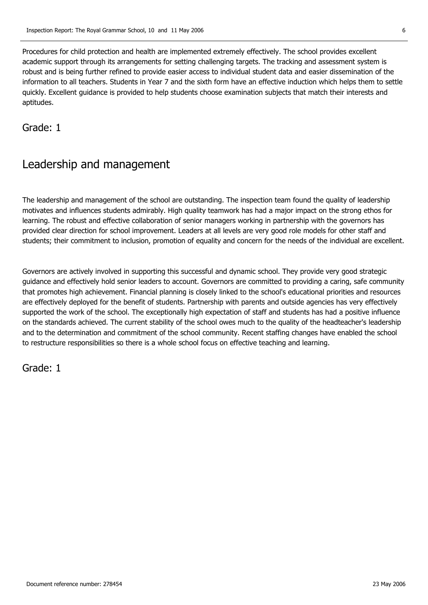Procedures for child protection and health are implemented extremely effectively. The school provides excellent academic support through its arrangements for setting challenging targets. The tracking and assessment system is robust and is being further refined to provide easier access to individual student data and easier dissemination of the information to all teachers. Students in Year 7 and the sixth form have an effective induction which helps them to settle quickly. Excellent guidance is provided to help students choose examination subjects that match their interests and aptitudes.

**Grade: 1**

### **Leadership and management**

The leadership and management of the school are outstanding. The inspection team found the quality of leadership motivates and influences students admirably. High quality teamwork has had a major impact on the strong ethos for learning. The robust and effective collaboration of senior managers working in partnership with the governors has provided clear direction for school improvement. Leaders at all levels are very good role models for other staff and students; their commitment to inclusion, promotion of equality and concern for the needs of the individual are excellent.

Governors are actively involved in supporting this successful and dynamic school. They provide very good strategic guidance and effectively hold senior leaders to account. Governors are committed to providing a caring, safe community that promotes high achievement. Financial planning is closely linked to the school's educational priorities and resources are effectively deployed for the benefit of students. Partnership with parents and outside agencies has very effectively supported the work of the school. The exceptionally high expectation of staff and students has had a positive influence on the standards achieved. The current stability of the school owes much to the quality of the headteacher's leadership and to the determination and commitment of the school community. Recent staffing changes have enabled the school to restructure responsibilities so there is a whole school focus on effective teaching and learning.

**Grade: 1**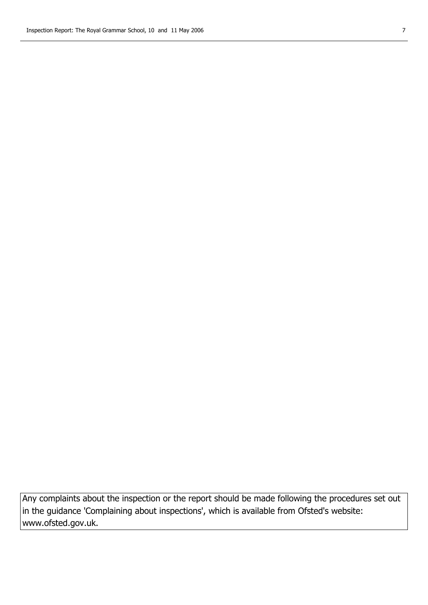**Any complaints about the inspection or the report should be made following the procedures set out in the guidance 'Complaining about inspections', which is available from Ofsted's website: www.ofsted.gov.uk.**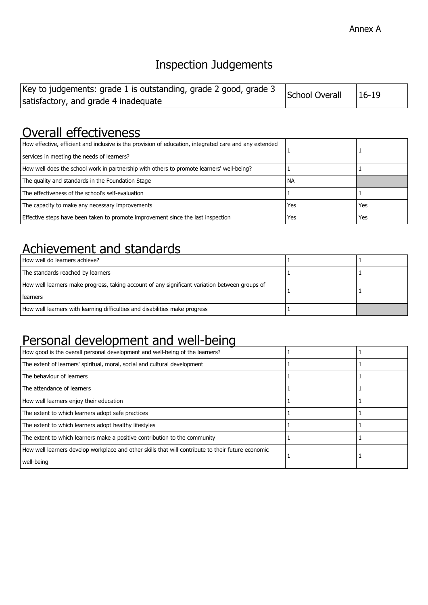# **Inspection Judgements**

| Key to judgements: grade 1 is outstanding, grade 2 good, grade 3 | School Overall | $ 16-19$ |
|------------------------------------------------------------------|----------------|----------|
| satisfactory, and grade 4 inadequate                             |                |          |

## **Overall effectiveness**

| How effective, efficient and inclusive is the provision of education, integrated care and any extended<br>services in meeting the needs of learners? |           |     |
|------------------------------------------------------------------------------------------------------------------------------------------------------|-----------|-----|
| How well does the school work in partnership with others to promote learners' well-being?                                                            |           |     |
| The quality and standards in the Foundation Stage                                                                                                    | <b>NA</b> |     |
| The effectiveness of the school's self-evaluation                                                                                                    |           |     |
| The capacity to make any necessary improvements                                                                                                      | Yes       | Yes |
| Effective steps have been taken to promote improvement since the last inspection                                                                     | Yes       | Yes |

## **Achievement and standards**

| How well do learners achieve?                                                                                |  |
|--------------------------------------------------------------------------------------------------------------|--|
| The standards reached by learners                                                                            |  |
| How well learners make progress, taking account of any significant variation between groups of<br>l learners |  |
| How well learners with learning difficulties and disabilities make progress                                  |  |

# **Personal development and well-being**

| How good is the overall personal development and well-being of the learners?                       |  |
|----------------------------------------------------------------------------------------------------|--|
| The extent of learners' spiritual, moral, social and cultural development                          |  |
| The behaviour of learners                                                                          |  |
| The attendance of learners                                                                         |  |
| How well learners enjoy their education                                                            |  |
| The extent to which learners adopt safe practices                                                  |  |
| The extent to which learners adopt healthy lifestyles                                              |  |
| The extent to which learners make a positive contribution to the community                         |  |
| How well learners develop workplace and other skills that will contribute to their future economic |  |
| well-being                                                                                         |  |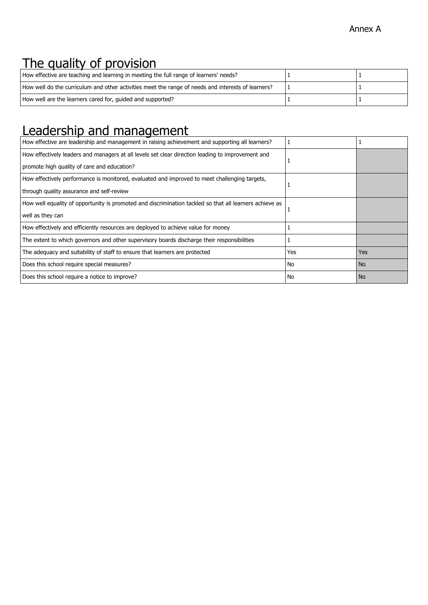# **The quality of provision**

| How effective are teaching and learning in meeting the full range of learners' needs?              |  |
|----------------------------------------------------------------------------------------------------|--|
| How well do the curriculum and other activities meet the range of needs and interests of learners? |  |
| How well are the learners cared for, quided and supported?                                         |  |

## **Leadership and management**

| How effective are leadership and management in raising achievement and supporting all learners?         |     |                |
|---------------------------------------------------------------------------------------------------------|-----|----------------|
| How effectively leaders and managers at all levels set clear direction leading to improvement and       | 1   |                |
| promote high quality of care and education?                                                             |     |                |
| How effectively performance is monitored, evaluated and improved to meet challenging targets,           |     |                |
| through quality assurance and self-review                                                               |     |                |
| How well equality of opportunity is promoted and discrimination tackled so that all learners achieve as |     |                |
| well as they can                                                                                        |     |                |
| How effectively and efficiently resources are deployed to achieve value for money                       |     |                |
| The extent to which governors and other supervisory boards discharge their responsibilities             |     |                |
| The adequacy and suitability of staff to ensure that learners are protected                             | Yes | <b>Yes</b>     |
| Does this school require special measures?                                                              | No  | N <sub>o</sub> |
| Does this school require a notice to improve?                                                           | No  | <b>No</b>      |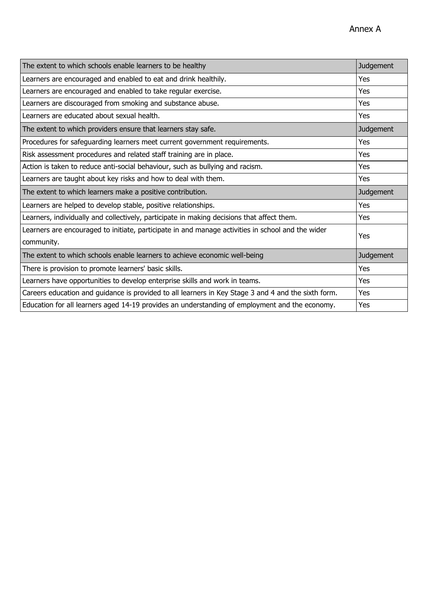| The extent to which schools enable learners to be healthy                                                       | <b>Judgement</b> |
|-----------------------------------------------------------------------------------------------------------------|------------------|
| Learners are encouraged and enabled to eat and drink healthily.                                                 | Yes              |
| Learners are encouraged and enabled to take regular exercise.                                                   | Yes              |
| Learners are discouraged from smoking and substance abuse.                                                      | Yes              |
| Learners are educated about sexual health.                                                                      | Yes              |
| The extent to which providers ensure that learners stay safe.                                                   | <b>Judgement</b> |
| Procedures for safeguarding learners meet current government requirements.                                      | Yes              |
| Risk assessment procedures and related staff training are in place.                                             | Yes              |
| Action is taken to reduce anti-social behaviour, such as bullying and racism.                                   | Yes              |
| Learners are taught about key risks and how to deal with them.                                                  | Yes              |
| The extent to which learners make a positive contribution.                                                      | <b>Judgement</b> |
| Learners are helped to develop stable, positive relationships.                                                  | Yes              |
| Learners, individually and collectively, participate in making decisions that affect them.                      | Yes              |
| Learners are encouraged to initiate, participate in and manage activities in school and the wider<br>community. | Yes              |
| The extent to which schools enable learners to achieve economic well-being                                      | <b>Judgement</b> |
| There is provision to promote learners' basic skills.                                                           | Yes              |
| Learners have opportunities to develop enterprise skills and work in teams.                                     | Yes              |
| Careers education and guidance is provided to all learners in Key Stage 3 and 4 and the sixth form.             | Yes              |
| Education for all learners aged 14-19 provides an understanding of employment and the economy.                  | Yes              |